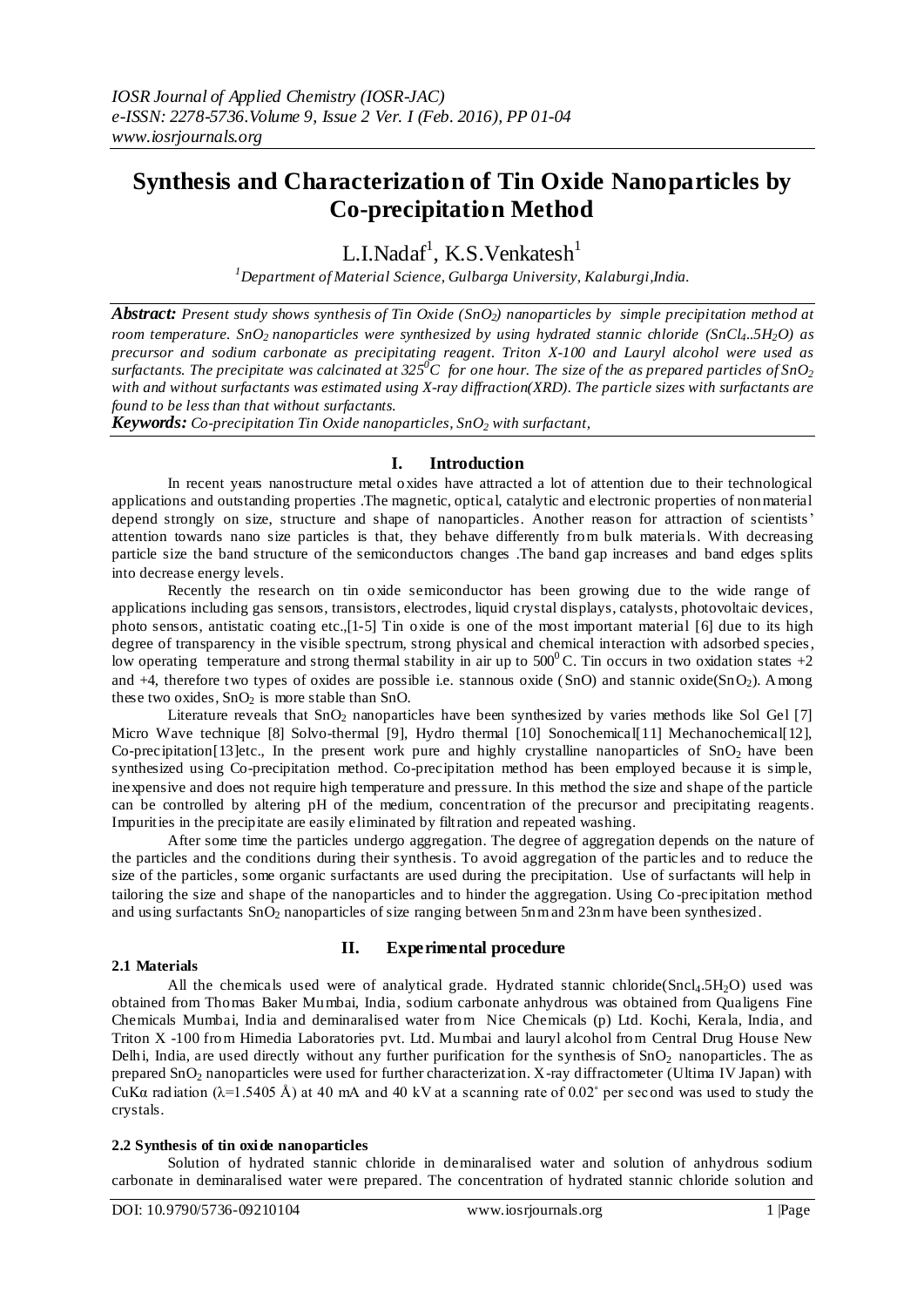# **Synthesis and Characterization of Tin Oxide Nanoparticles by Co-precipitation Method**

L.I.Nadaf $^1$ , K.S.Venkatesh $^1$ 

*<sup>1</sup>Department of Material Science, Gulbarga University, Kalaburgi,India.*

*Abstract: Present study shows synthesis of Tin Oxide (SnO2) nanoparticles by simple precipitation method at room temperature. SnO2 nanoparticles were synthesized by using hydrated stannic chloride (SnCl4..5H2O) as precursor and sodium carbonate as precipitating reagent. Triton X-100 and Lauryl alcohol were used as surfactants. The precipitate was calcinated at 325<sup>* $O$ *</sup>C for one hour. The size of the as prepared particles of SnO*<sup>2</sup> *with and without surfactants was estimated using X-ray diffraction(XRD). The particle sizes with surfactants are found to be less than that without surfactants.*

*Keywords: Co-precipitation Tin Oxide nanoparticles, SnO<sup>2</sup> with surfactant,*

# **I. Introduction**

In recent years nanostructure metal oxides have attracted a lot of attention due to their technological applications and outstanding properties .The magnetic, optical, catalytic and electronic properties of nonmaterial depend strongly on size, structure and shape of nanoparticles. Another reason for attraction of scientists' attention towards nano size particles is that, they behave differently from bulk materials. With decreasing particle size the band structure of the semiconductors changes .The band gap increases and band edges splits into decrease energy levels.

Recently the research on tin oxide semiconductor has been growing due to the wide range of applications including gas sensors, transistors, electrodes, liquid crystal displays, catalysts, photovoltaic devices, photo sensors, antistatic coating etc.,[1-5] Tin oxide is one of the most important material [6] due to its high degree of transparency in the visible spectrum, strong physical and chemical interaction with adsorbed species, low operating temperature and strong thermal stability in air up to  $500^{\circ}$ C. Tin occurs in two oxidation states +2 and  $+4$ , therefore two types of oxides are possible i.e. stannous oxide (SnO) and stannic oxide(SnO<sub>2</sub>). Among these two oxides,  $SnO<sub>2</sub>$  is more stable than SnO.

Literature reveals that SnO<sub>2</sub> nanoparticles have been synthesized by varies methods like Sol Gel [7] Micro Wave technique [8] Solvo-thermal [9], Hydro thermal [10] Sonochemical[11] Mechanochemical[12], Co-precipitation[13]etc., In the present work pure and highly crystalline nanoparticles of  $SnO<sub>2</sub>$  have been synthesized using Co-precipitation method. Co-precipitation method has been employed because it is simple, inexpensive and does not require high temperature and pressure. In this method the size and shape of the particle can be controlled by altering pH of the medium, concentration of the precursor and precipitating reagents. Impurities in the precipitate are easily eliminated by filtration and repeated washing.

After some time the particles undergo aggregation. The degree of aggregation depends on the nature of the particles and the conditions during their synthesis. To avoid aggregation of the particles and to reduce the size of the particles, some organic surfactants are used during the precipitation. Use of surfactants will help in tailoring the size and shape of the nanoparticles and to hinder the aggregation. Using Co -precipitation method and using surfactants  $SnO<sub>2</sub>$  nanoparticles of size ranging between 5nm and 23nm have been synthesized.

### **2.1 Materials**

# **II. Experimental procedure**

All the chemicals used were of analytical grade. Hydrated stannic chloride(Sncl<sub>4</sub>.5H<sub>2</sub>O) used was obtained from Thomas Baker Mumbai, India, sodium carbonate anhydrous was obtained from Qualigens Fine Chemicals Mumbai, India and deminaralised water from Nice Chemicals (p) Ltd. Kochi, Kerala, India, and Triton X -100 from Himedia Laboratories pvt. Ltd. Mumbai and lauryl alcohol from Central Drug House New Delhi, India, are used directly without any further purification for the synthesis of  $SnO<sub>2</sub>$  nanoparticles. The as prepared SnO<sup>2</sup> nanoparticles were used for further characterization. X-ray diffractometer (Ultima IV Japan) with CuKa radiation ( $\lambda$ =1.5405 Å) at 40 mA and 40 kV at a scanning rate of 0.02° per second was used to study the crystals.

### **2.2 Synthesis of tin oxide nanoparticles**

Solution of hydrated stannic chloride in deminaralised water and solution of anhydrous sodium carbonate in deminaralised water were prepared. The concentration of hydrated stannic chloride solution and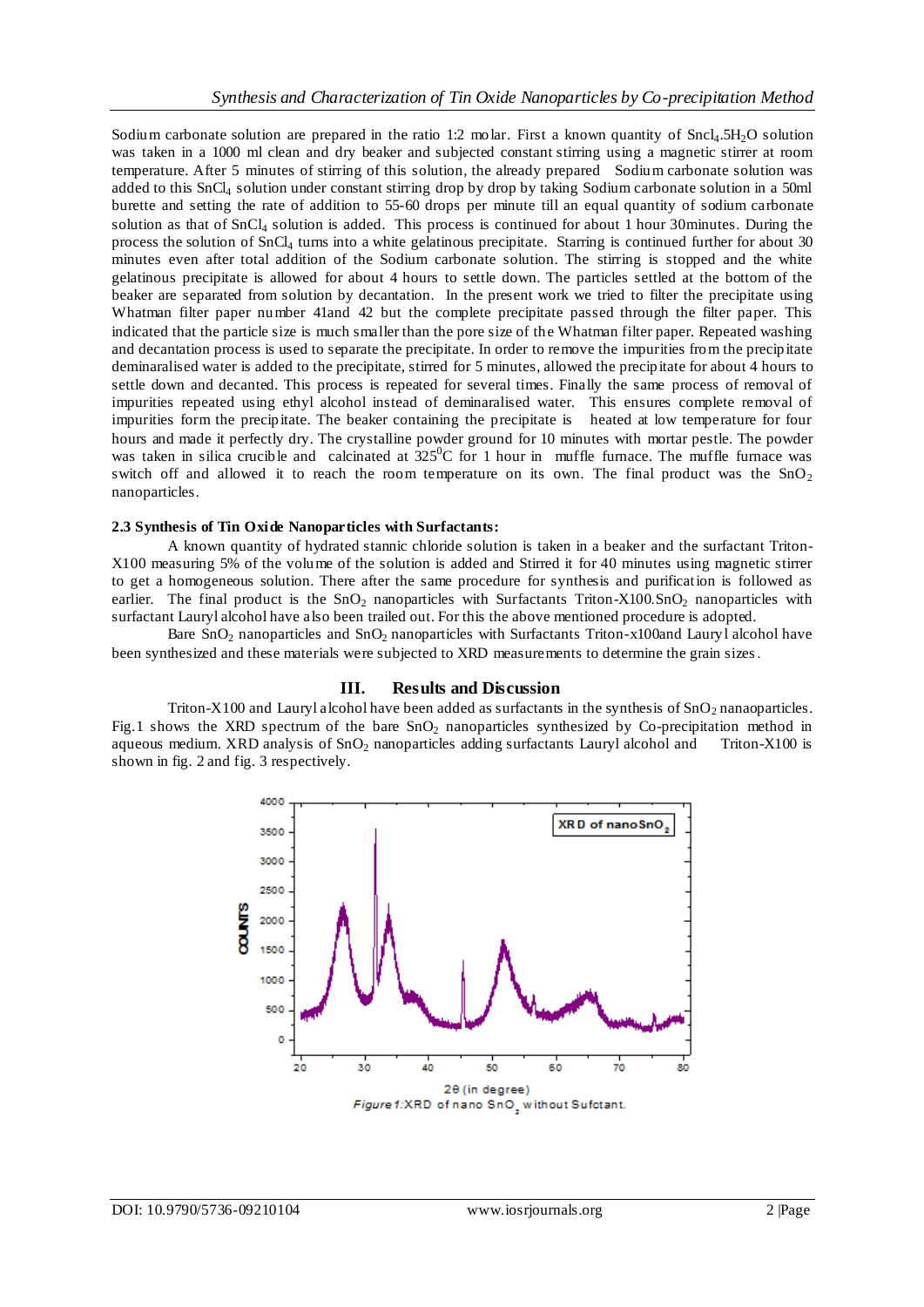Sodium carbonate solution are prepared in the ratio 1:2 molar. First a known quantity of  $Sncl_4.5H_2O$  solution was taken in a 1000 ml clean and dry beaker and subjected constant stirring using a magnetic stirrer at room temperature. After 5 minutes of stirring of this solution, the already prepared Sodium carbonate solution was added to this SnCl<sup>4</sup> solution under constant stirring drop by drop by taking Sodium carbonate solution in a 50ml burette and setting the rate of addition to 55-60 drops per minute till an equal quantity of sodium carbonate solution as that of SnCl<sup>4</sup> solution is added. This process is continued for about 1 hour 30minutes. During the process the solution of SnCl<sup>4</sup> turns into a white gelatinous precipitate. Starring is continued further for about 30 minutes even after total addition of the Sodium carbonate solution. The stirring is stopped and the white gelatinous precipitate is allowed for about 4 hours to settle down. The particles settled at the bottom of the beaker are separated from solution by decantation. In the present work we tried to filter the precipitate using Whatman filter paper number 41and 42 but the complete precipitate passed through the filter paper. This indicated that the particle size is much smaller than the pore size of the Whatman filter paper. Repeated washing and decantation process is used to separate the precipitate. In order to remove the impurities from the precipitate deminaralised water is added to the precipitate, stirred for 5 minutes, allowed the precipitate for about 4 hours to settle down and decanted. This process is repeated for several times. Finally the same process of removal of impurities repeated using ethyl alcohol instead of deminaralised water. This ensures complete removal of impurities form the precipitate. The beaker containing the precipitate is heated at low temperature for four hours and made it perfectly dry. The crystalline powder ground for 10 minutes with mortar pestle. The powder was taken in silica crucible and calcinated at  $325^0C$  for 1 hour in muffle furnace. The muffle furnace was switch off and allowed it to reach the room temperature on its own. The final product was the  $SnO<sub>2</sub>$ nanoparticles.

## **2.3 Synthesis of Tin Oxide Nanoparticles with Surfactants:**

A known quantity of hydrated stannic chloride solution is taken in a beaker and the surfactant Triton-X100 measuring 5% of the volume of the solution is added and Stirred it for 40 minutes using magnetic stirrer to get a homogeneous solution. There after the same procedure for synthesis and purification is followed as earlier. The final product is the  $SnO<sub>2</sub>$  nanoparticles with Surfactants Triton-X100.SnO<sub>2</sub> nanoparticles with surfactant Lauryl alcohol have also been trailed out. For this the above mentioned procedure is adopted.

Bare  $\text{SnO}_2$  nanoparticles and  $\text{SnO}_2$  nanoparticles with Surfactants Triton-x100and Lauryl alcohol have been synthesized and these materials were subjected to XRD measurements to determine the grain sizes.

# **III. Results and Discussion**

Triton-X100 and Lauryl alcohol have been added as surfactants in the synthesis of  $SnO<sub>2</sub>$  nanaoparticles. Fig.1 shows the XRD spectrum of the bare  $SnO<sub>2</sub>$  nanoparticles synthesized by Co-precipitation method in aqueous medium. XRD analysis of  $SnO<sub>2</sub>$  nanoparticles adding surfactants Lauryl alcohol and Triton-X100 is shown in fig. 2 and fig. 3 respectively.

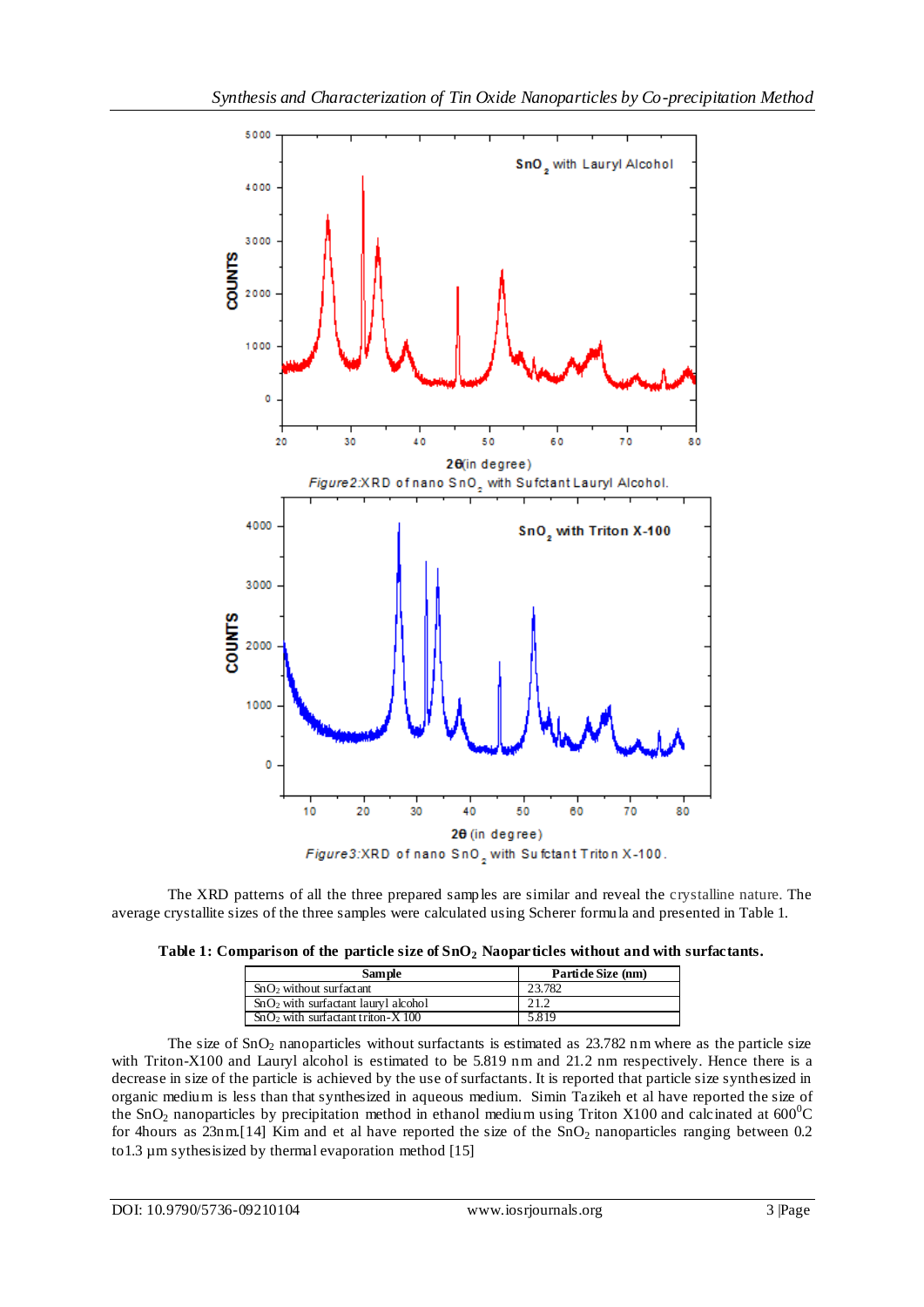

The XRD patterns of all the three prepared samples are similar and reveal the crystalline nature. The average crystallite sizes of the three samples were calculated using Scherer formula and presented in Table 1.

|  |  |  |  |  |  |  | Table 1: Comparison of the particle size of $SnO2$ Naoparticles without and with surfactants. |
|--|--|--|--|--|--|--|-----------------------------------------------------------------------------------------------|
|--|--|--|--|--|--|--|-----------------------------------------------------------------------------------------------|

| <b>Sample</b>                         | Particle Size (nm) |
|---------------------------------------|--------------------|
| $SnO2$ without surfactant             | 23.782             |
| $SnO2$ with surfactant lauryl alcohol | 21.2               |
| $SnO2$ with surfactant triton-X 100   | 5.819              |

The size of SnO<sub>2</sub> nanoparticles without surfactants is estimated as 23.782 nm where as the particle size with Triton-X100 and Lauryl alcohol is estimated to be 5.819 nm and 21.2 nm respectively. Hence there is a decrease in size of the particle is achieved by the use of surfactants. It is reported that particle size synthesized in organic medium is less than that synthesized in aqueous medium. Simin Tazikeh et al have reported the size of the SnO<sub>2</sub> nanoparticles by precipitation method in ethanol medium using Triton X100 and calcinated at  $600^{\circ}$ C for 4hours as  $23n \text{m}$ [14] Kim and et al have reported the size of the  $\text{SnO}_2$  nanoparticles ranging between 0.2 to1.3 µm sythesisized by thermal evaporation method [15]